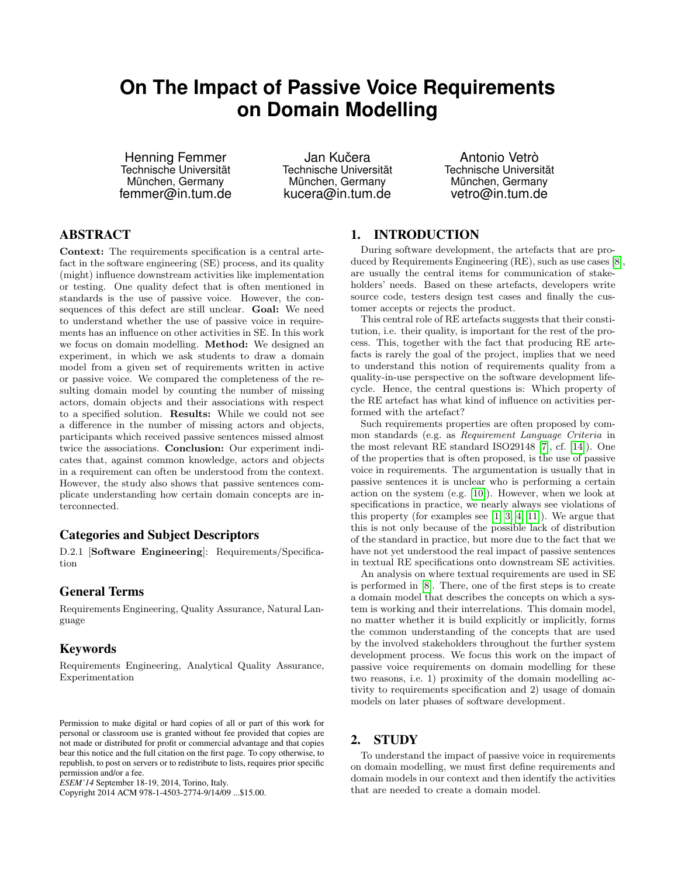# **On The Impact of Passive Voice Requirements on Domain Modelling**

Henning Femmer Technische Universität München, Germany femmer@in.tum.de

Jan Kučera Technische Universität München, Germany kucera@in.tum.de

Antonio Vetrò Technische Universität München, Germany vetro@in.tum.de

# ABSTRACT

Context: The requirements specification is a central artefact in the software engineering (SE) process, and its quality (might) influence downstream activities like implementation or testing. One quality defect that is often mentioned in standards is the use of passive voice. However, the consequences of this defect are still unclear. Goal: We need to understand whether the use of passive voice in requirements has an influence on other activities in SE. In this work we focus on domain modelling. Method: We designed an experiment, in which we ask students to draw a domain model from a given set of requirements written in active or passive voice. We compared the completeness of the resulting domain model by counting the number of missing actors, domain objects and their associations with respect to a specified solution. Results: While we could not see a difference in the number of missing actors and objects, participants which received passive sentences missed almost twice the associations. Conclusion: Our experiment indicates that, against common knowledge, actors and objects in a requirement can often be understood from the context. However, the study also shows that passive sentences complicate understanding how certain domain concepts are interconnected.

# Categories and Subject Descriptors

D.2.1 [Software Engineering]: Requirements/Specification

# General Terms

Requirements Engineering, Quality Assurance, Natural Language

# Keywords

Requirements Engineering, Analytical Quality Assurance, Experimentation

Copyright 2014 ACM 978-1-4503-2774-9/14/09 ...\$15.00.

# 1. INTRODUCTION

During software development, the artefacts that are produced by Requirements Engineering (RE), such as use cases [\[8\]](#page-3-0), are usually the central items for communication of stakeholders' needs. Based on these artefacts, developers write source code, testers design test cases and finally the customer accepts or rejects the product.

This central role of RE artefacts suggests that their constitution, i.e. their quality, is important for the rest of the process. This, together with the fact that producing RE artefacts is rarely the goal of the project, implies that we need to understand this notion of requirements quality from a quality-in-use perspective on the software development lifecycle. Hence, the central questions is: Which property of the RE artefact has what kind of influence on activities performed with the artefact?

Such requirements properties are often proposed by common standards (e.g. as Requirement Language Criteria in the most relevant RE standard ISO29148 [\[7\]](#page-3-1), cf. [\[14\]](#page-3-2)). One of the properties that is often proposed, is the use of passive voice in requirements. The argumentation is usually that in passive sentences it is unclear who is performing a certain action on the system (e.g. [\[10\]](#page-3-3)). However, when we look at specifications in practice, we nearly always see violations of this property (for examples see [\[1,](#page-3-4) [3,](#page-3-5) [4,](#page-3-6) [11\]](#page-3-7)). We argue that this is not only because of the possible lack of distribution of the standard in practice, but more due to the fact that we have not yet understood the real impact of passive sentences in textual RE specifications onto downstream SE activities.

An analysis on where textual requirements are used in SE is performed in [\[8\]](#page-3-0). There, one of the first steps is to create a domain model that describes the concepts on which a system is working and their interrelations. This domain model, no matter whether it is build explicitly or implicitly, forms the common understanding of the concepts that are used by the involved stakeholders throughout the further system development process. We focus this work on the impact of passive voice requirements on domain modelling for these two reasons, i.e. 1) proximity of the domain modelling activity to requirements specification and 2) usage of domain models on later phases of software development.

# 2. STUDY

To understand the impact of passive voice in requirements on domain modelling, we must first define requirements and domain models in our context and then identify the activities that are needed to create a domain model.

Permission to make digital or hard copies of all or part of this work for personal or classroom use is granted without fee provided that copies are not made or distributed for profit or commercial advantage and that copies bear this notice and the full citation on the first page. To copy otherwise, to republish, to post on servers or to redistribute to lists, requires prior specific permission and/or a fee.

*ESEM'14* September 18-19, 2014, Torino, Italy.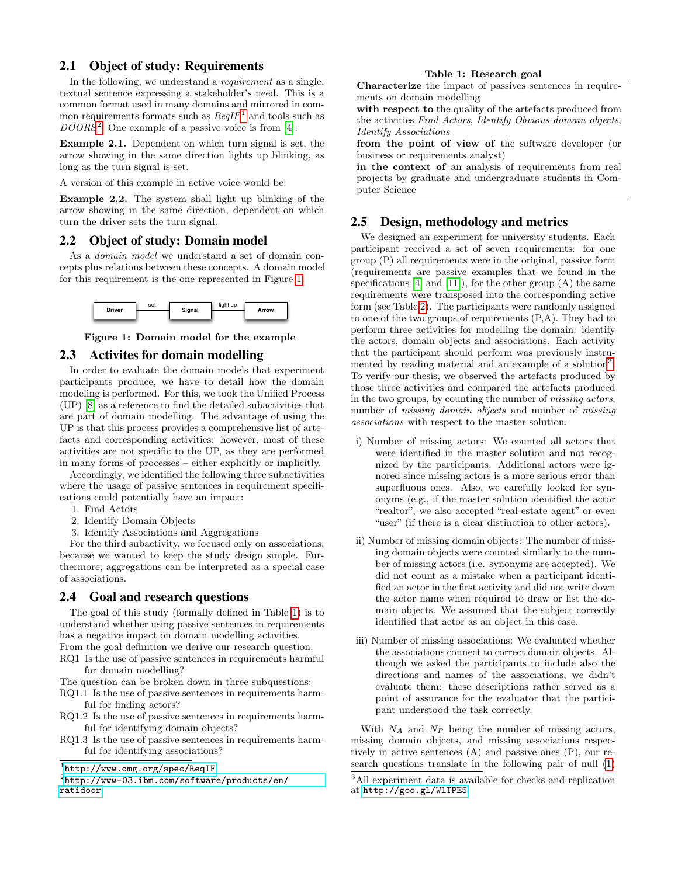# 2.1 Object of study: Requirements

In the following, we understand a *requirement* as a single, textual sentence expressing a stakeholder's need. This is a common format used in many domains and mirrored in common requirements formats such as  $ReqIF<sup>1</sup>$  $ReqIF<sup>1</sup>$  $ReqIF<sup>1</sup>$  and tools such as  $DOORS<sup>2</sup>$  $DOORS<sup>2</sup>$  $DOORS<sup>2</sup>$ . One example of a passive voice is from [\[4\]](#page-3-6):

Example 2.1. Dependent on which turn signal is set, the arrow showing in the same direction lights up blinking, as long as the turn signal is set.

A version of this example in active voice would be:

Example 2.2. The system shall light up blinking of the arrow showing in the same direction, dependent on which turn the driver sets the turn signal.

### 2.2 Object of study: Domain model

As a domain model we understand a set of domain concepts plus relations between these concepts. A domain model for this requirement is the one represented in Figure [1.](#page-1-2)



<span id="page-1-2"></span>Figure 1: Domain model for the example

### 2.3 Activites for domain modelling

In order to evaluate the domain models that experiment participants produce, we have to detail how the domain modeling is performed. For this, we took the Unified Process (UP) [\[8\]](#page-3-0) as a reference to find the detailed subactivities that are part of domain modelling. The advantage of using the UP is that this process provides a comprehensive list of artefacts and corresponding activities: however, most of these activities are not specific to the UP, as they are performed in many forms of processes – either explicitly or implicitly.

Accordingly, we identified the following three subactivities where the usage of passive sentences in requirement specifications could potentially have an impact:

- 1. Find Actors
- 2. Identify Domain Objects
- 3. Identify Associations and Aggregations

For the third subactivity, we focused only on associations, because we wanted to keep the study design simple. Furthermore, aggregations can be interpreted as a special case of associations.

### 2.4 Goal and research questions

The goal of this study (formally defined in Table [1\)](#page-1-3) is to understand whether using passive sentences in requirements has a negative impact on domain modelling activities. From the goal definition we derive our research question:

RQ1 Is the use of passive sentences in requirements harmful for domain modelling?

The question can be broken down in three subquestions:

- RQ1.1 Is the use of passive sentences in requirements harmful for finding actors?
- RQ1.2 Is the use of passive sentences in requirements harmful for identifying domain objects?
- RQ1.3 Is the use of passive sentences in requirements harmful for identifying associations?

#### <span id="page-1-3"></span>Table 1: Research goal

Characterize the impact of passives sentences in requirements on domain modelling

with respect to the quality of the artefacts produced from the activities Find Actors, Identify Obvious domain objects, Identify Associations

from the point of view of the software developer (or business or requirements analyst)

in the context of an analysis of requirements from real projects by graduate and undergraduate students in Computer Science

### <span id="page-1-5"></span>2.5 Design, methodology and metrics

We designed an experiment for university students. Each participant received a set of seven requirements: for one group (P) all requirements were in the original, passive form (requirements are passive examples that we found in the specifications  $[4]$  and  $[11]$ , for the other group  $(A)$  the same requirements were transposed into the corresponding active form (see Table [2\)](#page-2-0). The participants were randomly assigned to one of the two groups of requirements (P,A). They had to perform three activities for modelling the domain: identify the actors, domain objects and associations. Each activity that the participant should perform was previously instru-mented by reading material and an example of a solution<sup>[3](#page-1-4)</sup>. To verify our thesis, we observed the artefacts produced by those three activities and compared the artefacts produced in the two groups, by counting the number of missing actors, number of *missing domain objects* and number of *missing* associations with respect to the master solution.

- i) Number of missing actors: We counted all actors that were identified in the master solution and not recognized by the participants. Additional actors were ignored since missing actors is a more serious error than superfluous ones. Also, we carefully looked for synonyms (e.g., if the master solution identified the actor "realtor", we also accepted "real-estate agent" or even "user" (if there is a clear distinction to other actors).
- ii) Number of missing domain objects: The number of missing domain objects were counted similarly to the number of missing actors (i.e. synonyms are accepted). We did not count as a mistake when a participant identified an actor in the first activity and did not write down the actor name when required to draw or list the domain objects. We assumed that the subject correctly identified that actor as an object in this case.
- iii) Number of missing associations: We evaluated whether the associations connect to correct domain objects. Although we asked the participants to include also the directions and names of the associations, we didn't evaluate them: these descriptions rather served as a point of assurance for the evaluator that the participant understood the task correctly.

With  $N_A$  and  $N_P$  being the number of missing actors, missing domain objects, and missing associations respectively in active sentences (A) and passive ones (P), our research questions translate in the following pair of null [\(1\)](#page-2-1)

<span id="page-1-0"></span><sup>1</sup> <http://www.omg.org/spec/ReqIF>

<span id="page-1-1"></span><sup>2</sup> [http://www-03.ibm.com/software/products/en/](http://www-03.ibm.com/software/products/en/ratidoor) [ratidoor](http://www-03.ibm.com/software/products/en/ratidoor)

<span id="page-1-4"></span><sup>&</sup>lt;sup>3</sup>All experiment data is available for checks and replication at <http://goo.gl/WlTPE5>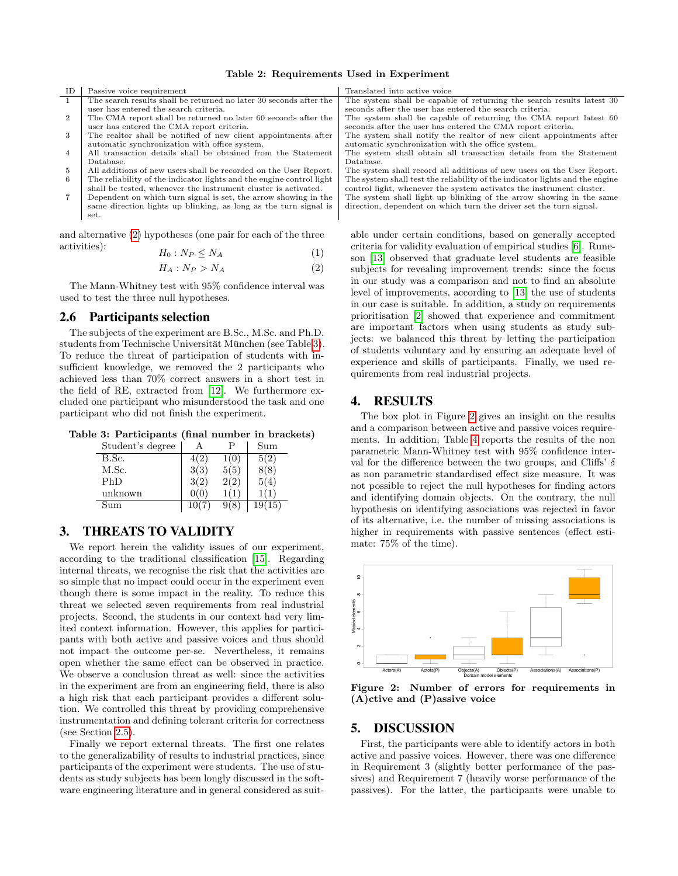<span id="page-2-0"></span>

| Table 2: Requirements Used in Experiment |  |  |
|------------------------------------------|--|--|
|------------------------------------------|--|--|

| ID             | Passive voice requirement                                            | Translated into active voice                                                 |
|----------------|----------------------------------------------------------------------|------------------------------------------------------------------------------|
|                | The search results shall be returned no later 30 seconds after the   | The system shall be capable of returning the search results latest 30        |
|                | user has entered the search criteria.                                | seconds after the user has entered the search criteria.                      |
|                | The CMA report shall be returned no later 60 seconds after the       | The system shall be capable of returning the CMA report latest 60            |
|                | user has entered the CMA report criteria.                            | seconds after the user has entered the CMA report criteria.                  |
| 3              | The realtor shall be notified of new client appointments after       | The system shall notify the realtor of new client appointments after         |
|                | automatic synchronization with office system.                        | automatic synchronization with the office system.                            |
| $\overline{4}$ | All transaction details shall be obtained from the Statement         | The system shall obtain all transaction details from the Statement           |
|                | Database.                                                            | Database.                                                                    |
| 5              | All additions of new users shall be recorded on the User Report.     | The system shall record all additions of new users on the User Report.       |
| 6              | The reliability of the indicator lights and the engine control light | The system shall test the reliability of the indicator lights and the engine |
|                | shall be tested, whenever the instrument cluster is activated.       | control light, whenever the system activates the instrument cluster.         |
|                | Dependent on which turn signal is set, the arrow showing in the      | The system shall light up blinking of the arrow showing in the same          |
|                | same direction lights up blinking, as long as the turn signal is     | direction, dependent on which turn the driver set the turn signal.           |
|                | set.                                                                 |                                                                              |

and alternative [\(2\)](#page-2-2) hypotheses (one pair for each of the three activities):  $H_0: N_P \leq N_A$  (1)

$$
H_0: NP \ge NA \tag{1}
$$
  

$$
H_A: N_P > N_A \tag{2}
$$

The Mann-Whitney test with 95% confidence interval was used to test the three null hypotheses.

### 2.6 Participants selection

The subjects of the experiment are B.Sc., M.Sc. and Ph.D. students from Technische Universität München (see Table [3\)](#page-2-3). To reduce the threat of participation of students with insufficient knowledge, we removed the 2 participants who achieved less than 70% correct answers in a short test in the field of RE, extracted from [\[12\]](#page-3-8). We furthermore excluded one participant who misunderstood the task and one participant who did not finish the experiment.

Table 3: Participants (final number in brackets)

<span id="page-2-3"></span>

| Student's degree |      |      | Sum  |
|------------------|------|------|------|
| B.Sc.            | 4(2) | 1(0) | 5(2) |
| M.Sc.            | 3(3) | 5(5) | 8(8) |
| PhD              | 3(2) | 2(2) | 5(4) |
| unknown          | 0(0) |      |      |
| Sum              |      |      | 15)  |

### 3. THREATS TO VALIDITY

We report herein the validity issues of our experiment, according to the traditional classification [\[15\]](#page-3-9). Regarding internal threats, we recognise the risk that the activities are so simple that no impact could occur in the experiment even though there is some impact in the reality. To reduce this threat we selected seven requirements from real industrial projects. Second, the students in our context had very limited context information. However, this applies for participants with both active and passive voices and thus should not impact the outcome per-se. Nevertheless, it remains open whether the same effect can be observed in practice. We observe a conclusion threat as well: since the activities in the experiment are from an engineering field, there is also a high risk that each participant provides a different solution. We controlled this threat by providing comprehensive instrumentation and defining tolerant criteria for correctness (see Section [2.5\)](#page-1-5).

Finally we report external threats. The first one relates to the generalizability of results to industrial practices, since participants of the experiment were students. The use of students as study subjects has been longly discussed in the software engineering literature and in general considered as suit<span id="page-2-2"></span><span id="page-2-1"></span>able under certain conditions, based on generally accepted criteria for validity evaluation of empirical studies [\[6\]](#page-3-10). Runeson [\[13\]](#page-3-11) observed that graduate level students are feasible subjects for revealing improvement trends: since the focus in our study was a comparison and not to find an absolute level of improvements, according to [\[13\]](#page-3-11) the use of students in our case is suitable. In addition, a study on requirements prioritisation [\[2\]](#page-3-12) showed that experience and commitment are important factors when using students as study subjects: we balanced this threat by letting the participation of students voluntary and by ensuring an adequate level of experience and skills of participants. Finally, we used requirements from real industrial projects.

# 4. RESULTS

The box plot in Figure [2](#page-2-4) gives an insight on the results and a comparison between active and passive voices requirements. In addition, Table [4](#page-3-13) reports the results of the non parametric Mann-Whitney test with 95% confidence interval for the difference between the two groups, and Cliffs'  $\delta$ as non parametric standardised effect size measure. It was not possible to reject the null hypotheses for finding actors and identifying domain objects. On the contrary, the null hypothesis on identifying associations was rejected in favor of its alternative, i.e. the number of missing associations is higher in requirements with passive sentences (effect estimate: 75% of the time).



<span id="page-2-4"></span>Figure 2: Number of errors for requirements in (A)ctive and (P)assive voice

### 5. DISCUSSION

First, the participants were able to identify actors in both active and passive voices. However, there was one difference in Requirement 3 (slightly better performance of the passives) and Requirement 7 (heavily worse performance of the passives). For the latter, the participants were unable to